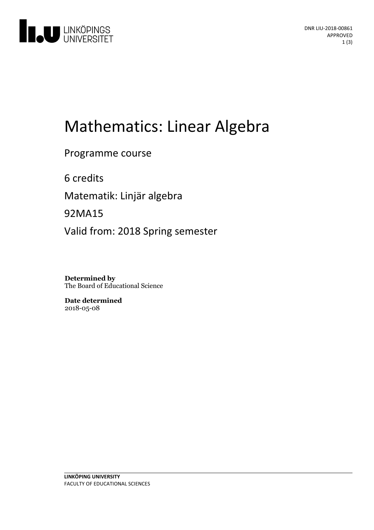

# Mathematics: Linear Algebra

Programme course

6 credits

Matematik: Linjär algebra

92MA15

Valid from: 2018 Spring semester

**Determined by** The Board of Educational Science

**Date determined** 2018-05-08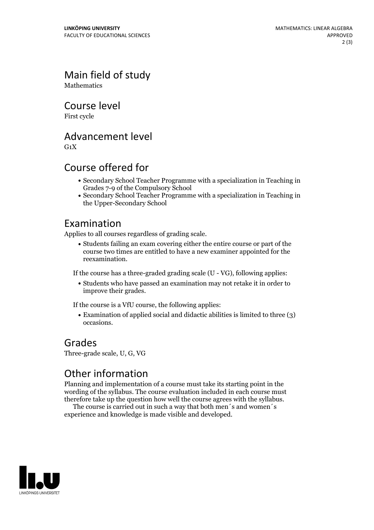Main field of study **Mathematics** 

Course level

First cycle

Advancement level

 $G_1X$ 

### Course offered for

- Secondary School Teacher Programme with a specialization in Teaching in Grades 7-9 of the Compulsory School
- Secondary School Teacher Programme with a specialization in Teaching in the Upper-Secondary School

#### Examination

Applies to all courses regardless of grading scale.

Students failing an exam covering either the entire course or part of the course two times are entitled to have a new examiner appointed for the reexamination.

If the course has a three-graded grading scale (U - VG), following applies:

Students who have passed an examination may not retake it in order to improve their grades.

If the course is a VfU course, the following applies:

Examination of applied social and didactic abilities is limited to three (3) occasions.

#### Grades

Three-grade scale, U, G, VG

## Other information

Planning and implementation of a course must take its starting point in the wording of the syllabus. The course evaluation included in each course must therefore take up the question how well the course agrees with the syllabus. The course is carried outin such <sup>a</sup> way that both men´s and women´s

experience and knowledge is made visible and developed.